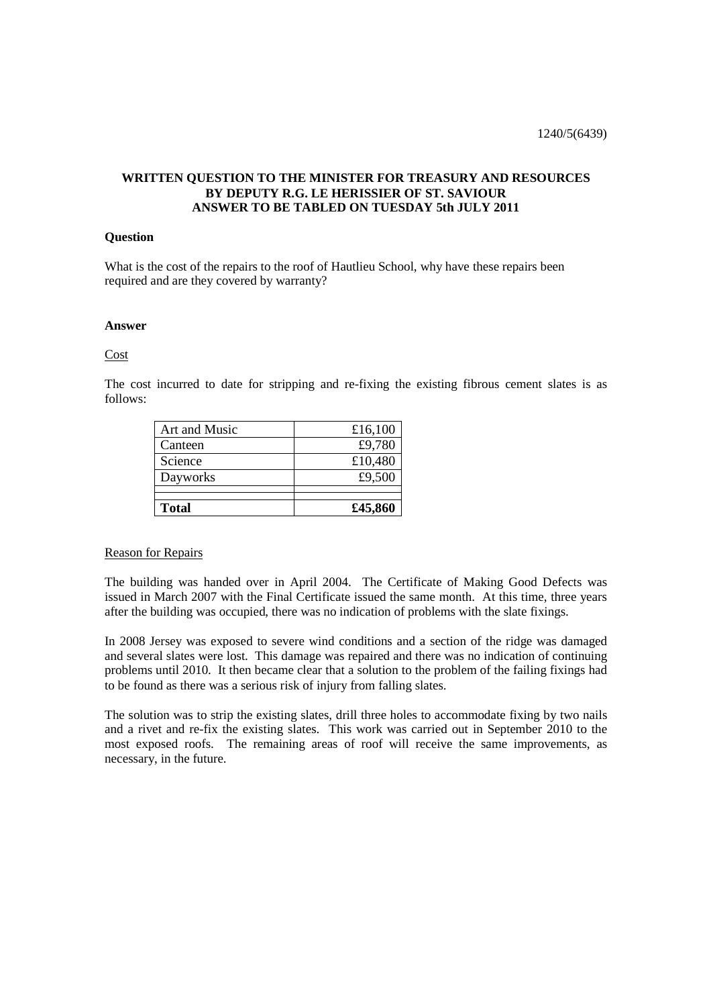# **WRITTEN QUESTION TO THE MINISTER FOR TREASURY AND RESOURCES BY DEPUTY R.G. LE HERISSIER OF ST. SAVIOUR ANSWER TO BE TABLED ON TUESDAY 5th JULY 2011**

### **Question**

What is the cost of the repairs to the roof of Hautlieu School, why have these repairs been required and are they covered by warranty?

### **Answer**

### Cost

The cost incurred to date for stripping and re-fixing the existing fibrous cement slates is as follows:

| Art and Music | £16,100 |
|---------------|---------|
| Canteen       | £9,780  |
| Science       | £10,480 |
| Dayworks      | £9,500  |
|               |         |
| <b>Total</b>  | £45,860 |

## Reason for Repairs

The building was handed over in April 2004. The Certificate of Making Good Defects was issued in March 2007 with the Final Certificate issued the same month. At this time, three years after the building was occupied, there was no indication of problems with the slate fixings.

In 2008 Jersey was exposed to severe wind conditions and a section of the ridge was damaged and several slates were lost. This damage was repaired and there was no indication of continuing problems until 2010. It then became clear that a solution to the problem of the failing fixings had to be found as there was a serious risk of injury from falling slates.

The solution was to strip the existing slates, drill three holes to accommodate fixing by two nails and a rivet and re-fix the existing slates. This work was carried out in September 2010 to the most exposed roofs. The remaining areas of roof will receive the same improvements, as necessary, in the future.